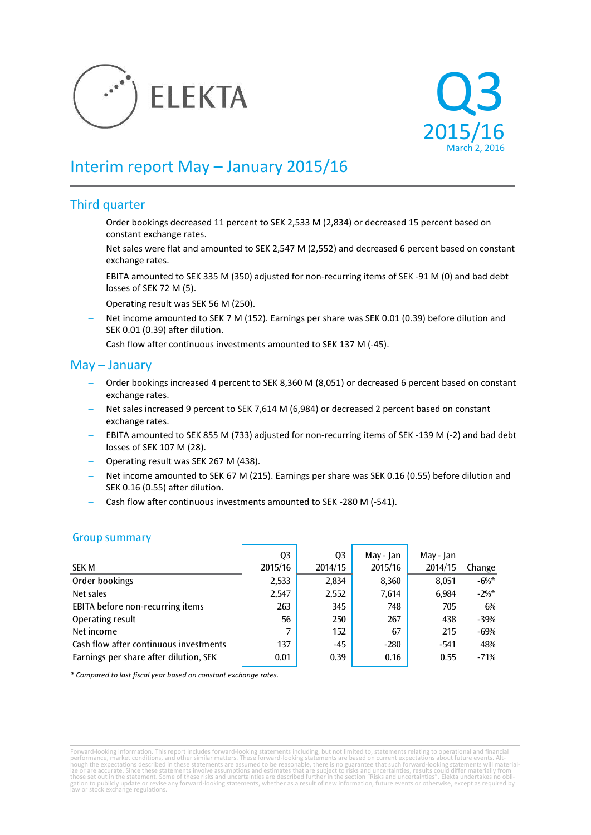



# Interim report May – January 2015/16

## Third quarter

- Order bookings decreased 11 percent to SEK 2,533 M (2,834) or decreased 15 percent based on constant exchange rates.
- Net sales were flat and amounted to SEK 2,547 M (2,552) and decreased 6 percent based on constant exchange rates.
- EBITA amounted to SEK 335 M (350) adjusted for non-recurring items of SEK -91 M (0) and bad debt losses of SEK 72 M (5).
- Operating result was SEK 56 M (250).
- Net income amounted to SEK 7 M (152). Earnings per share was SEK 0.01 (0.39) before dilution and SEK 0.01 (0.39) after dilution.
- Cash flow after continuous investments amounted to SEK 137 M (-45).

## May – January

- Order bookings increased 4 percent to SEK 8,360 M (8,051) or decreased 6 percent based on constant exchange rates.
- Net sales increased 9 percent to SEK 7,614 M (6,984) or decreased 2 percent based on constant exchange rates.
- EBITA amounted to SEK 855 M (733) adjusted for non-recurring items of SEK -139 M (-2) and bad debt losses of SEK 107 M (28).
- Operating result was SEK 267 M (438).
- Net income amounted to SEK 67 M (215). Earnings per share was SEK 0.16 (0.55) before dilution and SEK 0.16 (0.55) after dilution.
- Cash flow after continuous investments amounted to SEK -280 M (-541).

|                                        | Q3      | Q <sub>3</sub> | May - Jan | May - Jan |          |
|----------------------------------------|---------|----------------|-----------|-----------|----------|
| <b>SEK M</b>                           | 2015/16 | 2014/15        | 2015/16   | 2014/15   | Change   |
| Order bookings                         | 2,533   | 2,834          | 8,360     | 8,051     | $-6\%$ * |
| Net sales                              | 2,547   | 2,552          | 7,614     | 6.984     | $-2\%$ * |
| EBITA before non-recurring items       | 263     | 345            | 748       | 705       | 6%       |
| Operating result                       | 56      | 250            | 267       | 438       | -39%     |
| Net income                             | 7       | 152            | 67        | 215       | -69%     |
| Cash flow after continuous investments | 137     | $-45$          | $-280$    | $-541$    | 48%      |
| Earnings per share after dilution, SEK | 0.01    | 0.39           | 0.16      | 0.55      | $-71%$   |

## Group summary

*\* Compared to last fiscal year based on constant exchange rates.*

Forward-looking information. This report includes forward-looking statements including, but not limited to, statements relating to operational and financial<br>performance, market conditions, and other similar matters. These gation to publicly update or revise any forward-looking statements, whether as a result of new information, future events or otherwise, except as required by law or stock exchange regulations.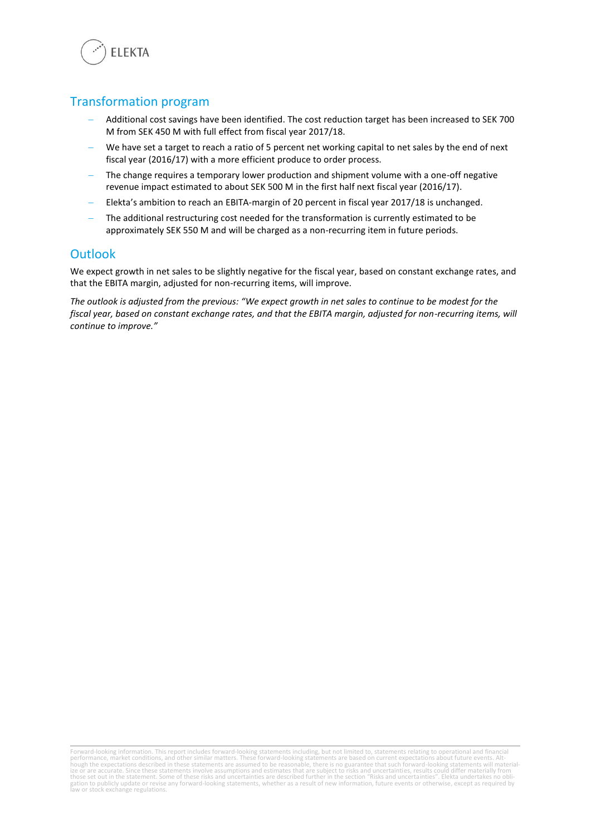

## Transformation program

- Additional cost savings have been identified. The cost reduction target has been increased to SEK 700 M from SEK 450 M with full effect from fiscal year 2017/18.
- We have set a target to reach a ratio of 5 percent net working capital to net sales by the end of next fiscal year (2016/17) with a more efficient produce to order process.
- The change requires a temporary lower production and shipment volume with a one-off negative revenue impact estimated to about SEK 500 M in the first half next fiscal year (2016/17).
- Elekta's ambition to reach an EBITA-margin of 20 percent in fiscal year 2017/18 is unchanged.
- The additional restructuring cost needed for the transformation is currently estimated to be approximately SEK 550 M and will be charged as a non-recurring item in future periods.

## **Outlook**

We expect growth in net sales to be slightly negative for the fiscal year, based on constant exchange rates, and that the EBITA margin, adjusted for non-recurring items, will improve.

*The outlook is adjusted from the previous: "We expect growth in net sales to continue to be modest for the fiscal year, based on constant exchange rates, and that the EBITA margin, adjusted for non-recurring items, will continue to improve."* 

Forward-looking information. This report includes forward-looking statements including, but not limited to, statements relating to operational and financial<br>performance, market conditions, and other similar matters. These gation to publicly update or revise any forward-looking statements, whether as a result of new information, future events or otherwise, except as required by law or stock exchange regulations.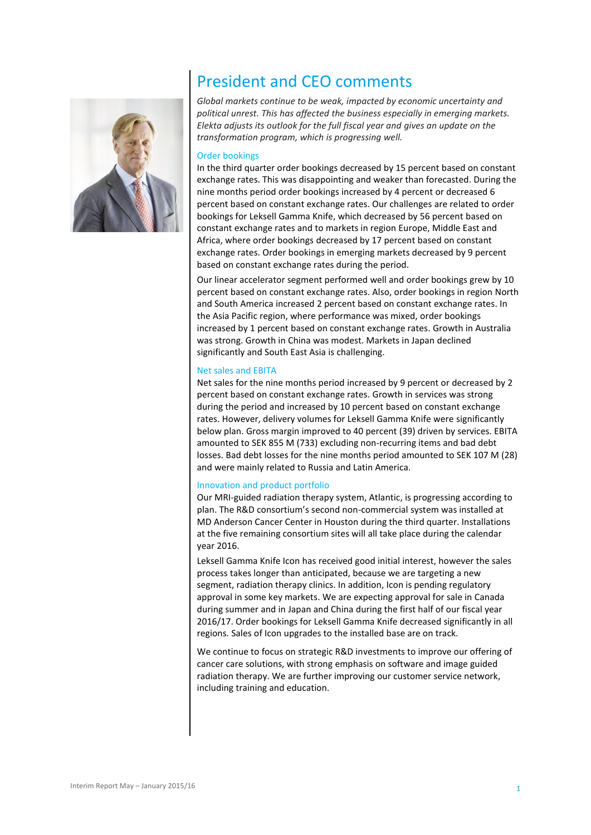

# President and CEO comments

*Global markets continue to be weak, impacted by economic uncertainty and political unrest. This has affected the business especially in emerging markets. Elekta adjusts its outlook for the full fiscal year and gives an update on the transformation program, which is progressing well.*

### Order bookings

In the third quarter order bookings decreased by 15 percent based on constant exchange rates. This was disappointing and weaker than forecasted. During the nine months period order bookings increased by 4 percent or decreased 6 percent based on constant exchange rates. Our challenges are related to order bookings for Leksell Gamma Knife, which decreased by 56 percent based on constant exchange rates and to markets in region Europe, Middle East and Africa, where order bookings decreased by 17 percent based on constant exchange rates. Order bookings in emerging markets decreased by 9 percent based on constant exchange rates during the period.

Our linear accelerator segment performed well and order bookings grew by 10 percent based on constant exchange rates. Also, order bookings in region North and South America increased 2 percent based on constant exchange rates. In the Asia Pacific region, where performance was mixed, order bookings increased by 1 percent based on constant exchange rates. Growth in Australia was strong. Growth in China was modest. Markets in Japan declined significantly and South East Asia is challenging.

#### Net sales and EBITA

Net sales for the nine months period increased by 9 percent or decreased by 2 percent based on constant exchange rates. Growth in services was strong during the period and increased by 10 percent based on constant exchange rates. However, delivery volumes for Leksell Gamma Knife were significantly below plan. Gross margin improved to 40 percent (39) driven by services. EBITA amounted to SEK 855 M (733) excluding non-recurring items and bad debt losses. Bad debt losses for the nine months period amounted to SEK 107 M (28) and were mainly related to Russia and Latin America.

### Innovation and product portfolio

Our MRI-guided radiation therapy system, Atlantic, is progressing according to plan. The R&D consortium's second non-commercial system was installed at MD Anderson Cancer Center in Houston during the third quarter. Installations at the five remaining consortium sites will all take place during the calendar year 2016.

Leksell Gamma Knife Icon has received good initial interest, however the sales process takes longer than anticipated, because we are targeting a new segment, radiation therapy clinics. In addition, Icon is pending regulatory approval in some key markets. We are expecting approval for sale in Canada during summer and in Japan and China during the first half of our fiscal year 2016/17. Order bookings for Leksell Gamma Knife decreased significantly in all regions. Sales of Icon upgrades to the installed base are on track.

We continue to focus on strategic R&D investments to improve our offering of cancer care solutions, with strong emphasis on software and image guided radiation therapy. We are further improving our customer service network, including training and education.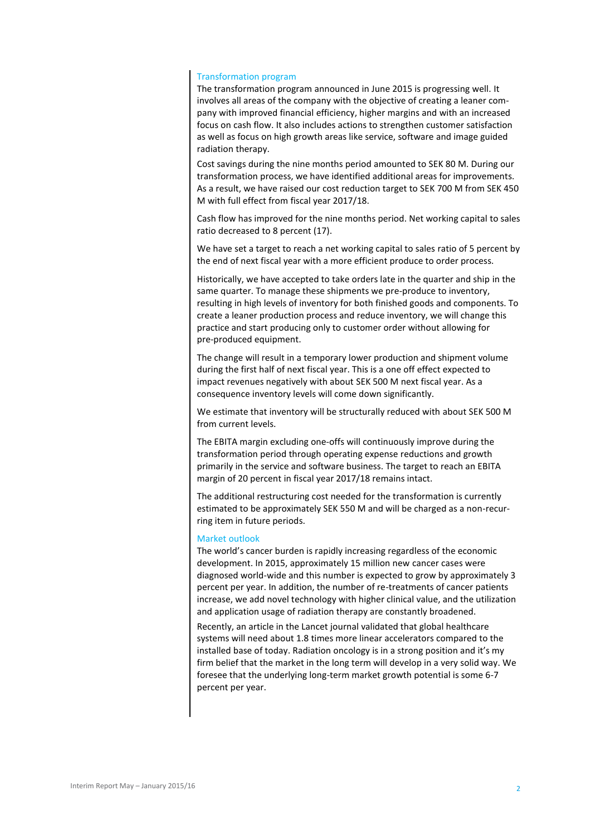#### Transformation program

The transformation program announced in June 2015 is progressing well. It involves all areas of the company with the objective of creating a leaner company with improved financial efficiency, higher margins and with an increased focus on cash flow. It also includes actions to strengthen customer satisfaction as well as focus on high growth areas like service, software and image guided radiation therapy.

Cost savings during the nine months period amounted to SEK 80 M. During our transformation process, we have identified additional areas for improvements. As a result, we have raised our cost reduction target to SEK 700 M from SEK 450 M with full effect from fiscal year 2017/18.

Cash flow has improved for the nine months period. Net working capital to sales ratio decreased to 8 percent (17).

We have set a target to reach a net working capital to sales ratio of 5 percent by the end of next fiscal year with a more efficient produce to order process.

Historically, we have accepted to take orders late in the quarter and ship in the same quarter. To manage these shipments we pre-produce to inventory, resulting in high levels of inventory for both finished goods and components. To create a leaner production process and reduce inventory, we will change this practice and start producing only to customer order without allowing for pre-produced equipment.

The change will result in a temporary lower production and shipment volume during the first half of next fiscal year. This is a one off effect expected to impact revenues negatively with about SEK 500 M next fiscal year. As a consequence inventory levels will come down significantly.

We estimate that inventory will be structurally reduced with about SEK 500 M from current levels.

The EBITA margin excluding one-offs will continuously improve during the transformation period through operating expense reductions and growth primarily in the service and software business. The target to reach an EBITA margin of 20 percent in fiscal year 2017/18 remains intact.

The additional restructuring cost needed for the transformation is currently estimated to be approximately SEK 550 M and will be charged as a non-recurring item in future periods.

### Market outlook

The world's cancer burden is rapidly increasing regardless of the economic development. In 2015, approximately 15 million new cancer cases were diagnosed world-wide and this number is expected to grow by approximately 3 percent per year. In addition, the number of re-treatments of cancer patients increase, we add novel technology with higher clinical value, and the utilization and application usage of radiation therapy are constantly broadened.

Recently, an article in the Lancet journal validated that global healthcare systems will need about 1.8 times more linear accelerators compared to the installed base of today. Radiation oncology is in a strong position and it's my firm belief that the market in the long term will develop in a very solid way. We foresee that the underlying long-term market growth potential is some 6-7 percent per year.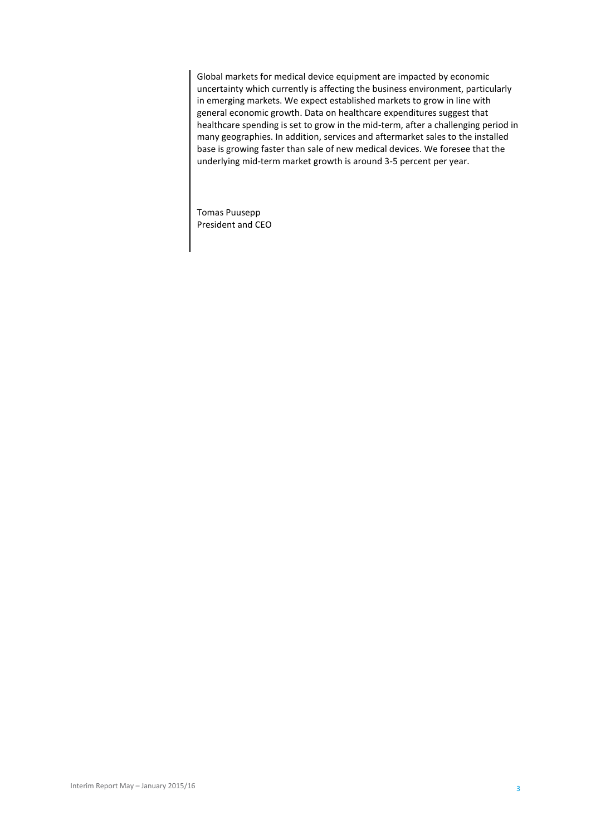Global markets for medical device equipment are impacted by economic uncertainty which currently is affecting the business environment, particularly in emerging markets. We expect established markets to grow in line with general economic growth. Data on healthcare expenditures suggest that healthcare spending is set to grow in the mid-term, after a challenging period in many geographies. In addition, services and aftermarket sales to the installed base is growing faster than sale of new medical devices. We foresee that the underlying mid-term market growth is around 3-5 percent per year.

Tomas Puusepp President and CEO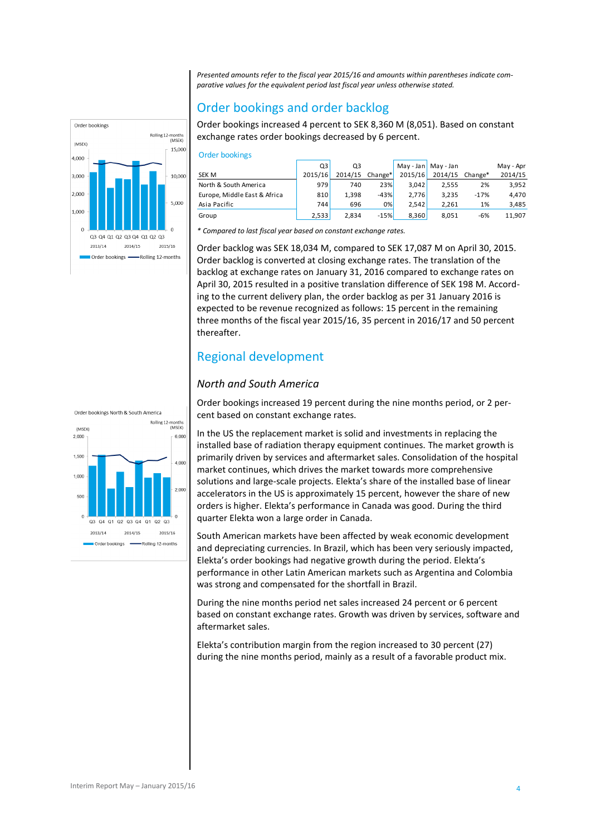*Presented amounts refer to the fiscal year 2015/16 and amounts within parentheses indicate comparative values for the equivalent period last fiscal year unless otherwise stated.*

## Order bookings and order backlog

Order bookings increased 4 percent to SEK 8,360 M (8,051). Based on constant exchange rates order bookings decreased by 6 percent.

| <b>Order bookings</b>        |         |         |         |             |           |         |           |
|------------------------------|---------|---------|---------|-------------|-----------|---------|-----------|
|                              | Q3      | Q3      |         | $May - Jan$ | May - Jan |         | May - Apr |
| <b>SEK M</b>                 | 2015/16 | 2014/15 | Change* | 2015/16     | 2014/15   | Change* | 2014/15   |
| North & South America        | 979     | 740     | 23%     | 3.042       | 2,555     | 2%      | 3,952     |
| Europe, Middle East & Africa | 810     | 1,398   | $-43%$  | 2.776       | 3.235     | $-17%$  | 4,470     |
| Asia Pacific                 | 744     | 696     | 0%      | 2.542       | 2,261     | 1%      | 3,485     |
| Group                        | 2,533   | 2,834   | $-15%$  | 8,360       | 8,051     | -6%     | 11,907    |

*\* Compared to last fiscal year based on constant exchange rates.*

Order backlog was SEK 18,034 M, compared to SEK 17,087 M on April 30, 2015. Order backlog is converted at closing exchange rates. The translation of the backlog at exchange rates on January 31, 2016 compared to exchange rates on April 30, 2015 resulted in a positive translation difference of SEK 198 M. According to the current delivery plan, the order backlog as per 31 January 2016 is expected to be revenue recognized as follows: 15 percent in the remaining three months of the fiscal year 2015/16, 35 percent in 2016/17 and 50 percent thereafter.

## Regional development

## *North and South America*

Order bookings increased 19 percent during the nine months period, or 2 percent based on constant exchange rates.

In the US the replacement market is solid and investments in replacing the installed base of radiation therapy equipment continues. The market growth is primarily driven by services and aftermarket sales. Consolidation of the hospital market continues, which drives the market towards more comprehensive solutions and large-scale projects. Elekta's share of the installed base of linear accelerators in the US is approximately 15 percent, however the share of new orders is higher. Elekta's performance in Canada was good. During the third quarter Elekta won a large order in Canada.

South American markets have been affected by weak economic development and depreciating currencies. In Brazil, which has been very seriously impacted, Elekta's order bookings had negative growth during the period. Elekta's performance in other Latin American markets such as Argentina and Colombia was strong and compensated for the shortfall in Brazil.

During the nine months period net sales increased 24 percent or 6 percent based on constant exchange rates. Growth was driven by services, software and aftermarket sales.

Elekta's contribution margin from the region increased to 30 percent (27) during the nine months period, mainly as a result of a favorable product mix.



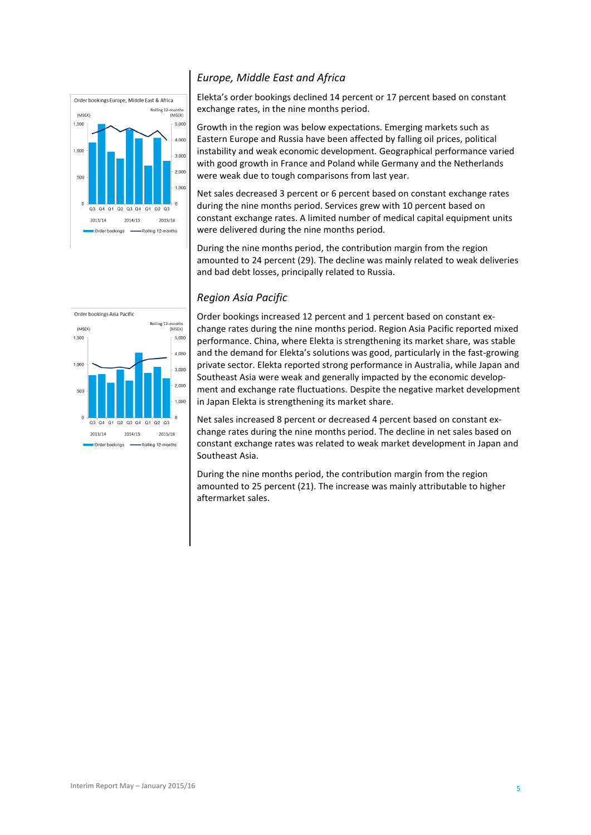

### *Europe, Middle East and Africa*

Elekta's order bookings declined 14 percent or 17 percent based on constant exchange rates, in the nine months period.

Growth in the region was below expectations. Emerging markets such as Eastern Europe and Russia have been affected by falling oil prices, political instability and weak economic development. Geographical performance varied with good growth in France and Poland while Germany and the Netherlands were weak due to tough comparisons from last year.

Net sales decreased 3 percent or 6 percent based on constant exchange rates during the nine months period. Services grew with 10 percent based on constant exchange rates. A limited number of medical capital equipment units were delivered during the nine months period.

During the nine months period, the contribution margin from the region amounted to 24 percent (29). The decline was mainly related to weak deliveries and bad debt losses, principally related to Russia.

### *Region Asia Pacific*



Order bookings increased 12 percent and 1 percent based on constant exchange rates during the nine months period. Region Asia Pacific reported mixed performance. China, where Elekta is strengthening its market share, was stable and the demand for Elekta's solutions was good, particularly in the fast-growing private sector. Elekta reported strong performance in Australia, while Japan and Southeast Asia were weak and generally impacted by the economic development and exchange rate fluctuations. Despite the negative market development in Japan Elekta is strengthening its market share.

Net sales increased 8 percent or decreased 4 percent based on constant exchange rates during the nine months period. The decline in net sales based on constant exchange rates was related to weak market development in Japan and Southeast Asia.

During the nine months period, the contribution margin from the region amounted to 25 percent (21). The increase was mainly attributable to higher aftermarket sales.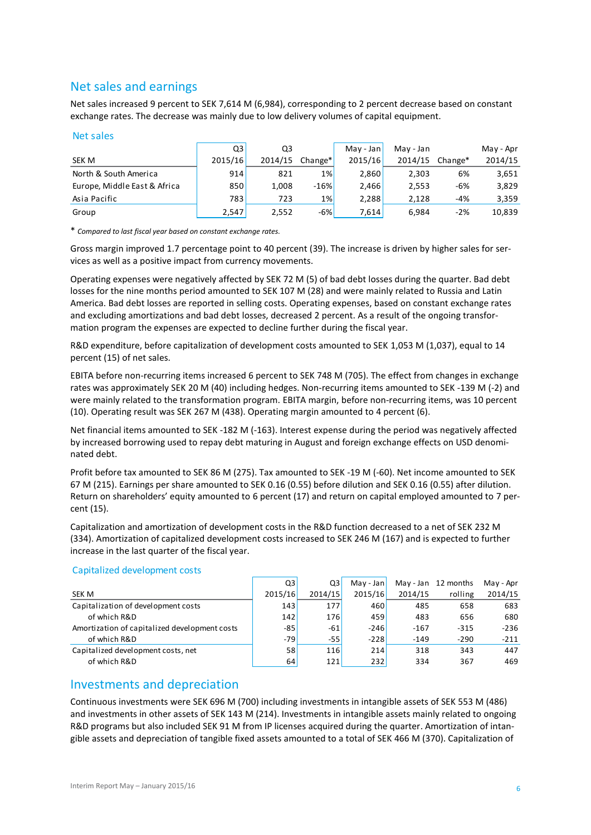## Net sales and earnings

Net sales increased 9 percent to SEK 7,614 M (6,984), corresponding to 2 percent decrease based on constant exchange rates. The decrease was mainly due to low delivery volumes of capital equipment.

### Net sales

| Net sales                    |         |         |           |           |           |         |           |
|------------------------------|---------|---------|-----------|-----------|-----------|---------|-----------|
|                              | Q3      | Q3      |           | May - Jan | May - Jan |         | May - Apr |
| SEK M                        | 2015/16 | 2014/15 | $Change*$ | 2015/16   | 2014/15   | Change* | 2014/15   |
| North & South America        | 914     | 821     | $1\%$     | 2,860     | 2,303     | 6%      | 3,651     |
| Europe, Middle East & Africa | 850     | 1,008   | $-16%$    | 2,466     | 2,553     | $-6%$   | 3,829     |
| Asia Pacific                 | 783     | 723     | 1%        | 2,288     | 2,128     | -4%     | 3,359     |
| Group                        | 2,547   | 2,552   | $-6%$     | 7,614     | 6,984     | $-2%$   | 10,839    |

\* *Compared to last fiscal year based on constant exchange rates.*

Gross margin improved 1.7 percentage point to 40 percent (39). The increase is driven by higher sales for services as well as a positive impact from currency movements.

Operating expenses were negatively affected by SEK 72 M (5) of bad debt losses during the quarter. Bad debt losses for the nine months period amounted to SEK 107 M (28) and were mainly related to Russia and Latin America. Bad debt losses are reported in selling costs. Operating expenses, based on constant exchange rates and excluding amortizations and bad debt losses, decreased 2 percent. As a result of the ongoing transformation program the expenses are expected to decline further during the fiscal year.

R&D expenditure, before capitalization of development costs amounted to SEK 1,053 M (1,037), equal to 14 percent (15) of net sales.

EBITA before non-recurring items increased 6 percent to SEK 748 M (705). The effect from changes in exchange rates was approximately SEK 20 M (40) including hedges. Non-recurring items amounted to SEK -139 M (-2) and were mainly related to the transformation program. EBITA margin, before non-recurring items, was 10 percent (10). Operating result was SEK 267 M (438). Operating margin amounted to 4 percent (6).

Net financial items amounted to SEK -182 M (-163). Interest expense during the period was negatively affected by increased borrowing used to repay debt maturing in August and foreign exchange effects on USD denominated debt.

Profit before tax amounted to SEK 86 M (275). Tax amounted to SEK -19 M (-60). Net income amounted to SEK 67 M (215). Earnings per share amounted to SEK 0.16 (0.55) before dilution and SEK 0.16 (0.55) after dilution. Return on shareholders' equity amounted to 6 percent (17) and return on capital employed amounted to 7 percent (15).

Capitalization and amortization of development costs in the R&D function decreased to a net of SEK 232 M (334). Amortization of capitalized development costs increased to SEK 246 M (167) and is expected to further increase in the last quarter of the fiscal year.

|                                               | Q3      | Q3      | $May - Jan$ | May - Jan | 12 months | May - Apr |
|-----------------------------------------------|---------|---------|-------------|-----------|-----------|-----------|
| SEK M                                         | 2015/16 | 2014/15 | 2015/16     | 2014/15   | rolling   | 2014/15   |
| Capitalization of development costs           | 143     | 177     | 460         | 485       | 658       | 683       |
| of which R&D                                  | 142     | 176     | 459         | 483       | 656       | 680       |
| Amortization of capitalized development costs | $-85$   | $-61$   | $-246$      | $-167$    | $-315$    | $-236$    |
| of which R&D                                  | $-79$   | -55     | $-228$      | $-149$    | $-290$    | $-211$    |
| Capitalized development costs, net            | 58      | 116     | 214         | 318       | 343       | 447       |
| of which R&D                                  | 64      | 121     | 232         | 334       | 367       | 469       |
|                                               |         |         |             |           |           |           |

### Capitalized development costs

## Investments and depreciation

Continuous investments were SEK 696 M (700) including investments in intangible assets of SEK 553 M (486) and investments in other assets of SEK 143 M (214). Investments in intangible assets mainly related to ongoing R&D programs but also included SEK 91 M from IP licenses acquired during the quarter. Amortization of intangible assets and depreciation of tangible fixed assets amounted to a total of SEK 466 M (370). Capitalization of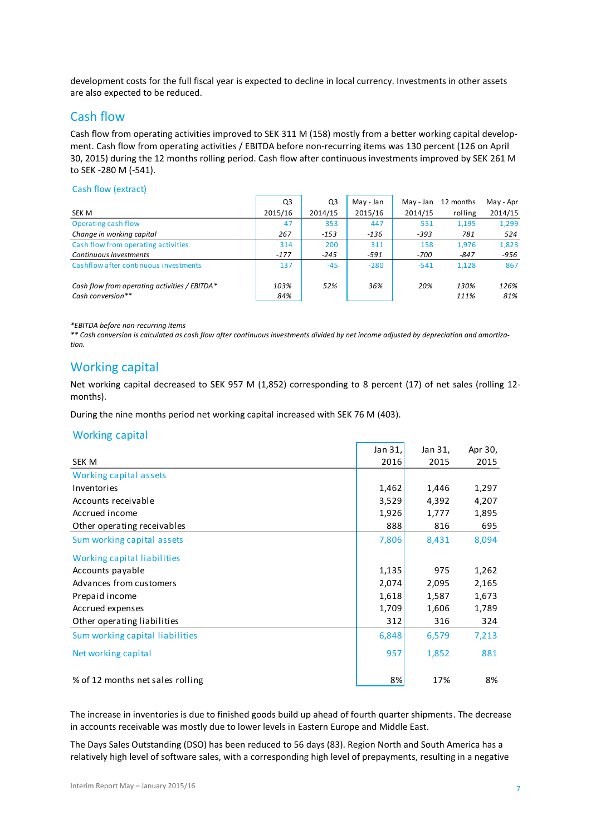development costs for the full fiscal year is expected to decline in local currency. Investments in other assets are also expected to be reduced.

## Cash flow

Cash flow from operating activities improved to SEK 311 M (158) mostly from a better working capital development. Cash flow from operating activities / EBITDA before non-recurring items was 130 percent (126 on April 30, 2015) during the 12 months rolling period. Cash flow after continuous investments improved by SEK 261 M to SEK -280 M (-541).

### Cash flow (extract)

| Cash flow (extract)                           |                |         |           |           |           |           |
|-----------------------------------------------|----------------|---------|-----------|-----------|-----------|-----------|
|                                               | Q <sub>3</sub> | Q3      | May - Jan | May - Jan | 12 months | May - Apr |
| SEK M                                         | 2015/16        | 2014/15 | 2015/16   | 2014/15   | rolling   | 2014/15   |
| Operating cash flow                           | 47             | 353     | 447       | 551       | 1,195     | 1,299     |
| Change in working capital                     | 267            | $-153$  | $-136$    | $-393$    | 781       | 524       |
| Cash flow from operating activities           | 314            | 200     | 311       | 158       | 1,976     | 1,823     |
| Continuous investments                        | $-177$         | $-245$  | $-591$    | -700      | -847      | -956      |
| Cashflow after continuous investments         | 137            | $-45$   | $-280$    | $-541$    | 1.128     | 867       |
| Cash flow from operating activities / EBITDA* | 103%           | 52%     | 36%       | 20%       | 130%      | 126%      |
| Cash conversion**                             | 84%            |         |           |           | 111%      | 81%       |

*\*EBITDA before non-recurring items*

*\*\* Cash conversion is calculated as cash flow after continuous investments divided by net income adjusted by depreciation and amortization.*

## Working capital

Net working capital decreased to SEK 957 M (1,852) corresponding to 8 percent (17) of net sales (rolling 12 months).

During the nine months period net working capital increased with SEK 76 M (403).

### Working capital

|                                  | Jan 31, | Jan 31, | Apr 30, |
|----------------------------------|---------|---------|---------|
| SEK M                            | 2016    | 2015    | 2015    |
| Working capital assets           |         |         |         |
| Inventories                      | 1,462   | 1,446   | 1,297   |
| Accounts receivable              | 3,529   | 4,392   | 4,207   |
| Accrued income                   | 1,926   | 1,777   | 1,895   |
| Other operating receivables      | 888     | 816     | 695     |
| Sum working capital assets       | 7,806   | 8,431   | 8,094   |
| Working capital liabilities      |         |         |         |
| Accounts payable                 | 1,135   | 975     | 1,262   |
| Advances from customers          | 2,074   | 2,095   | 2,165   |
| Prepaid income                   | 1,618   | 1,587   | 1,673   |
| Accrued expenses                 | 1,709   | 1,606   | 1,789   |
| Other operating liabilities      | 312     | 316     | 324     |
| Sum working capital liabilities  | 6,848   | 6,579   | 7,213   |
| Net working capital              | 957     | 1,852   | 881     |
| % of 12 months net sales rolling | 8%      | 17%     | 8%      |

The increase in inventories is due to finished goods build up ahead of fourth quarter shipments. The decrease in accounts receivable was mostly due to lower levels in Eastern Europe and Middle East.

The Days Sales Outstanding (DSO) has been reduced to 56 days (83). Region North and South America has a relatively high level of software sales, with a corresponding high level of prepayments, resulting in a negative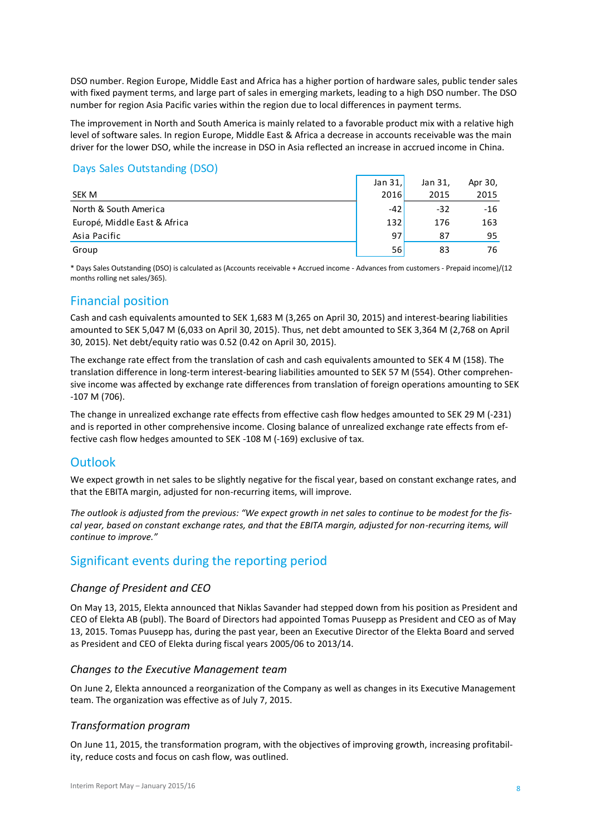DSO number. Region Europe, Middle East and Africa has a higher portion of hardware sales, public tender sales with fixed payment terms, and large part of sales in emerging markets, leading to a high DSO number. The DSO number for region Asia Pacific varies within the region due to local differences in payment terms.

The improvement in North and South America is mainly related to a favorable product mix with a relative high level of software sales. In region Europe, Middle East & Africa a decrease in accounts receivable was the main driver for the lower DSO, while the increase in DSO in Asia reflected an increase in accrued income in China.

### Days Sales Outstanding (DSO)

|                              | Jan $31.$   | Jan 31, | Apr 30, |
|------------------------------|-------------|---------|---------|
| SEK M                        | <b>2016</b> | 2015    | 2015    |
| North & South America        | $-42$       | $-32$   | -16     |
| Europé, Middle East & Africa | 132         | 176     | 163     |
| Asia Pacific                 | 97          | 87      | 95      |
| Group                        | 56          | 83      | 76      |
|                              |             |         |         |

\* Days Sales Outstanding (DSO) is calculated as (Accounts receivable + Accrued income - Advances from customers - Prepaid income)/(12 months rolling net sales/365).

## Financial position

Cash and cash equivalents amounted to SEK 1,683 M (3,265 on April 30, 2015) and interest-bearing liabilities amounted to SEK 5,047 M (6,033 on April 30, 2015). Thus, net debt amounted to SEK 3,364 M (2,768 on April 30, 2015). Net debt/equity ratio was 0.52 (0.42 on April 30, 2015).

The exchange rate effect from the translation of cash and cash equivalents amounted to SEK 4 M (158). The translation difference in long-term interest-bearing liabilities amounted to SEK 57 M (554). Other comprehensive income was affected by exchange rate differences from translation of foreign operations amounting to SEK -107 M (706).

The change in unrealized exchange rate effects from effective cash flow hedges amounted to SEK 29 M (-231) and is reported in other comprehensive income. Closing balance of unrealized exchange rate effects from effective cash flow hedges amounted to SEK -108 M (-169) exclusive of tax.

## **Outlook**

We expect growth in net sales to be slightly negative for the fiscal year, based on constant exchange rates, and that the EBITA margin, adjusted for non-recurring items, will improve.

*The outlook is adjusted from the previous: "We expect growth in net sales to continue to be modest for the fiscal year, based on constant exchange rates, and that the EBITA margin, adjusted for non-recurring items, will continue to improve."* 

## Significant events during the reporting period

### *Change of President and CEO*

On May 13, 2015, Elekta announced that Niklas Savander had stepped down from his position as President and CEO of Elekta AB (publ). The Board of Directors had appointed Tomas Puusepp as President and CEO as of May 13, 2015. Tomas Puusepp has, during the past year, been an Executive Director of the Elekta Board and served as President and CEO of Elekta during fiscal years 2005/06 to 2013/14.

### *Changes to the Executive Management team*

On June 2, Elekta announced a reorganization of the Company as well as changes in its Executive Management team. The organization was effective as of July 7, 2015.

### *Transformation program*

On June 11, 2015, the transformation program, with the objectives of improving growth, increasing profitability, reduce costs and focus on cash flow, was outlined.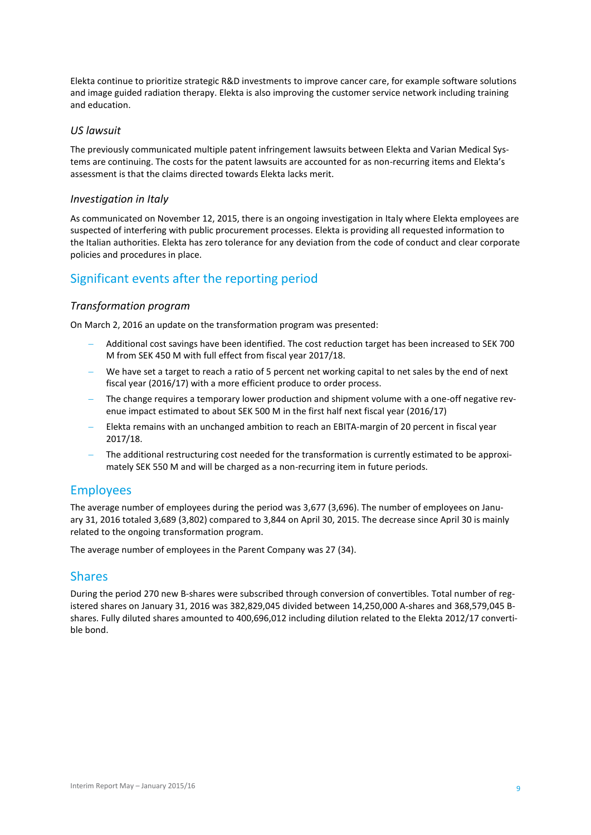Elekta continue to prioritize strategic R&D investments to improve cancer care, for example software solutions and image guided radiation therapy. Elekta is also improving the customer service network including training and education.

### *US lawsuit*

The previously communicated multiple patent infringement lawsuits between Elekta and Varian Medical Systems are continuing. The costs for the patent lawsuits are accounted for as non-recurring items and Elekta's assessment is that the claims directed towards Elekta lacks merit.

### *Investigation in Italy*

As communicated on November 12, 2015, there is an ongoing investigation in Italy where Elekta employees are suspected of interfering with public procurement processes. Elekta is providing all requested information to the Italian authorities. Elekta has zero tolerance for any deviation from the code of conduct and clear corporate policies and procedures in place.

## Significant events after the reporting period

### *Transformation program*

On March 2, 2016 an update on the transformation program was presented:

- Additional cost savings have been identified. The cost reduction target has been increased to SEK 700 M from SEK 450 M with full effect from fiscal year 2017/18.
- We have set a target to reach a ratio of 5 percent net working capital to net sales by the end of next fiscal year (2016/17) with a more efficient produce to order process.
- The change requires a temporary lower production and shipment volume with a one-off negative revenue impact estimated to about SEK 500 M in the first half next fiscal year (2016/17)
- Elekta remains with an unchanged ambition to reach an EBITA-margin of 20 percent in fiscal year 2017/18.
- The additional restructuring cost needed for the transformation is currently estimated to be approximately SEK 550 M and will be charged as a non-recurring item in future periods.

## Employees

The average number of employees during the period was 3,677 (3,696). The number of employees on January 31, 2016 totaled 3,689 (3,802) compared to 3,844 on April 30, 2015. The decrease since April 30 is mainly related to the ongoing transformation program.

The average number of employees in the Parent Company was 27 (34).

## Shares

During the period 270 new B-shares were subscribed through conversion of convertibles. Total number of registered shares on January 31, 2016 was 382,829,045 divided between 14,250,000 A-shares and 368,579,045 Bshares. Fully diluted shares amounted to 400,696,012 including dilution related to the Elekta 2012/17 convertible bond.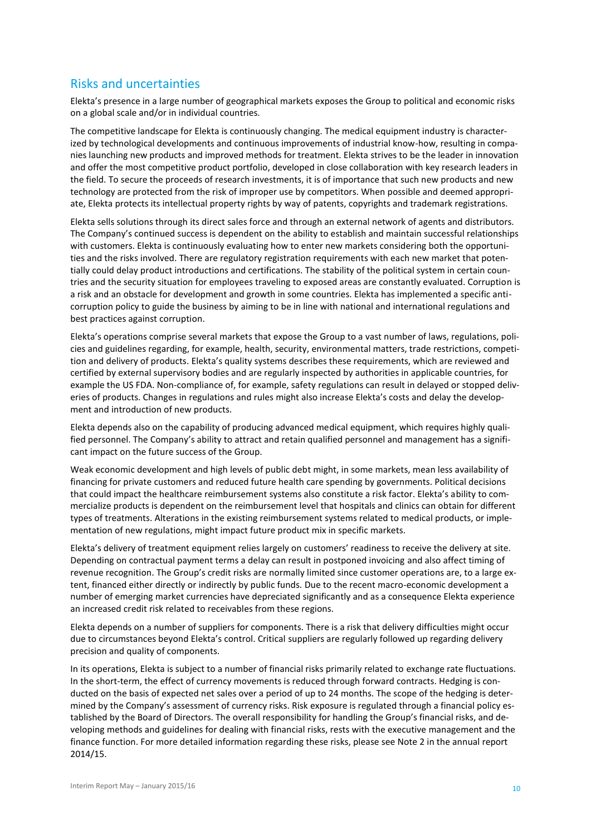## Risks and uncertainties

Elekta's presence in a large number of geographical markets exposes the Group to political and economic risks on a global scale and/or in individual countries.

The competitive landscape for Elekta is continuously changing. The medical equipment industry is characterized by technological developments and continuous improvements of industrial know-how, resulting in companies launching new products and improved methods for treatment. Elekta strives to be the leader in innovation and offer the most competitive product portfolio, developed in close collaboration with key research leaders in the field. To secure the proceeds of research investments, it is of importance that such new products and new technology are protected from the risk of improper use by competitors. When possible and deemed appropriate, Elekta protects its intellectual property rights by way of patents, copyrights and trademark registrations.

Elekta sells solutions through its direct sales force and through an external network of agents and distributors. The Company's continued success is dependent on the ability to establish and maintain successful relationships with customers. Elekta is continuously evaluating how to enter new markets considering both the opportunities and the risks involved. There are regulatory registration requirements with each new market that potentially could delay product introductions and certifications. The stability of the political system in certain countries and the security situation for employees traveling to exposed areas are constantly evaluated. Corruption is a risk and an obstacle for development and growth in some countries. Elekta has implemented a specific anticorruption policy to guide the business by aiming to be in line with national and international regulations and best practices against corruption.

Elekta's operations comprise several markets that expose the Group to a vast number of laws, regulations, policies and guidelines regarding, for example, health, security, environmental matters, trade restrictions, competition and delivery of products. Elekta's quality systems describes these requirements, which are reviewed and certified by external supervisory bodies and are regularly inspected by authorities in applicable countries, for example the US FDA. Non-compliance of, for example, safety regulations can result in delayed or stopped deliveries of products. Changes in regulations and rules might also increase Elekta's costs and delay the development and introduction of new products.

Elekta depends also on the capability of producing advanced medical equipment, which requires highly qualified personnel. The Company's ability to attract and retain qualified personnel and management has a significant impact on the future success of the Group.

Weak economic development and high levels of public debt might, in some markets, mean less availability of financing for private customers and reduced future health care spending by governments. Political decisions that could impact the healthcare reimbursement systems also constitute a risk factor. Elekta's ability to commercialize products is dependent on the reimbursement level that hospitals and clinics can obtain for different types of treatments. Alterations in the existing reimbursement systems related to medical products, or implementation of new regulations, might impact future product mix in specific markets.

Elekta's delivery of treatment equipment relies largely on customers' readiness to receive the delivery at site. Depending on contractual payment terms a delay can result in postponed invoicing and also affect timing of revenue recognition. The Group's credit risks are normally limited since customer operations are, to a large extent, financed either directly or indirectly by public funds. Due to the recent macro-economic development a number of emerging market currencies have depreciated significantly and as a consequence Elekta experience an increased credit risk related to receivables from these regions.

Elekta depends on a number of suppliers for components. There is a risk that delivery difficulties might occur due to circumstances beyond Elekta's control. Critical suppliers are regularly followed up regarding delivery precision and quality of components.

In its operations, Elekta is subject to a number of financial risks primarily related to exchange rate fluctuations. In the short-term, the effect of currency movements is reduced through forward contracts. Hedging is conducted on the basis of expected net sales over a period of up to 24 months. The scope of the hedging is determined by the Company's assessment of currency risks. Risk exposure is regulated through a financial policy established by the Board of Directors. The overall responsibility for handling the Group's financial risks, and developing methods and guidelines for dealing with financial risks, rests with the executive management and the finance function. For more detailed information regarding these risks, please see Note 2 in the annual report 2014/15.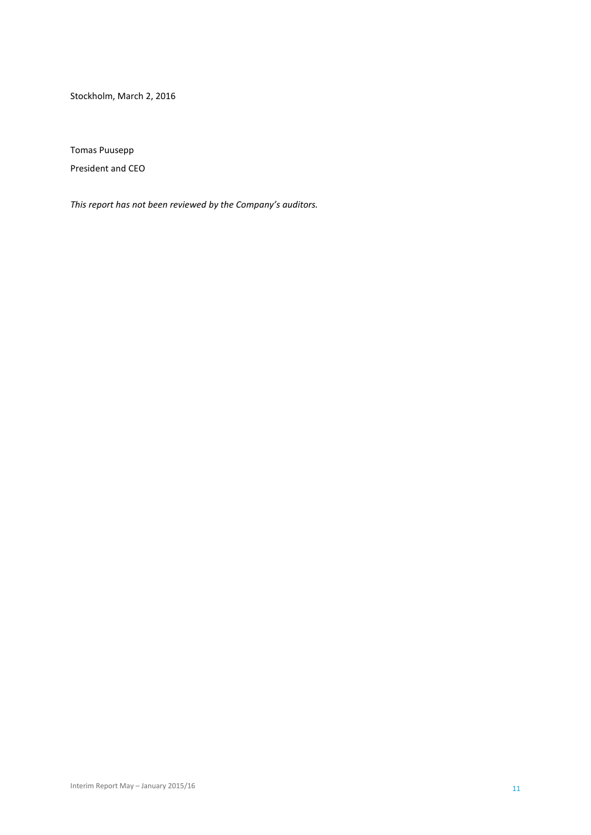Stockholm, March 2, 2016

Tomas Puusepp

President and CEO

*This report has not been reviewed by the Company's auditors.*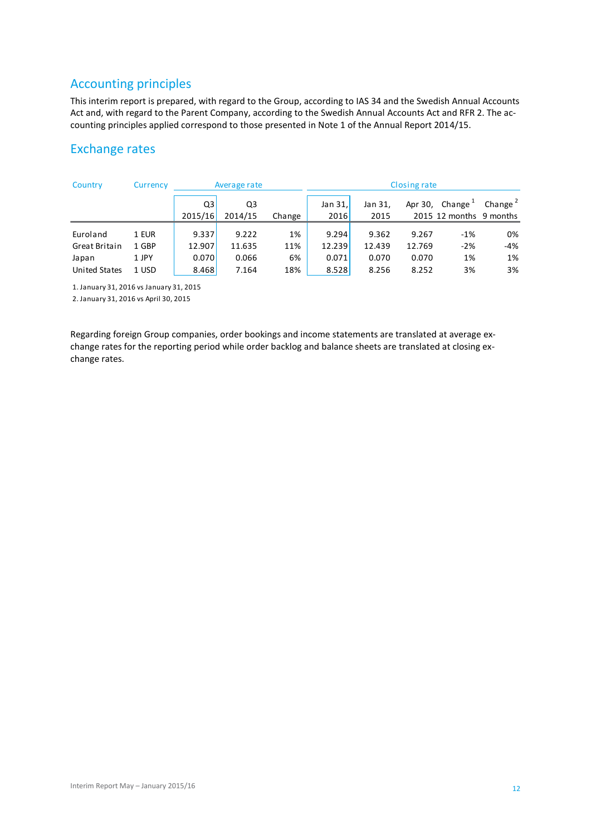## Accounting principles

This interim report is prepared, with regard to the Group, according to IAS 34 and the Swedish Annual Accounts Act and, with regard to the Parent Company, according to the Swedish Annual Accounts Act and RFR 2. The accounting principles applied correspond to those presented in Note 1 of the Annual Report 2014/15.

## Exchange rates

| Country                                    | Currency |         | Average rate |        |            |         | Closing rate |                         |            |
|--------------------------------------------|----------|---------|--------------|--------|------------|---------|--------------|-------------------------|------------|
|                                            |          | Q3      | Q3           |        | Jan $31$ , | Jan 31, | Apr 30,      | Change $1$              | Change $2$ |
|                                            |          | 2015/16 | 2014/15      | Change | 2016       | 2015    |              | 2015 12 months 9 months |            |
| Euroland                                   | 1 EUR    | 9.337   | 9.222        | 1%     | 9.294      | 9.362   | 9.267        | $-1\%$                  | 0%         |
| Great Britain                              | 1 GBP    | 12.907  | 11.635       | 11%    | 12.239     | 12.439  | 12.769       | $-2%$                   | -4%        |
| Japan                                      | 1 JPY    | 0.070   | 0.066        | 6%     | 0.071      | 0.070   | 0.070        | 1%                      | 1%         |
| <b>United States</b>                       | 1 USD    | 8.468   | 7.164        | 18%    | 8.528      | 8.256   | 8.252        | 3%                      | 3%         |
| $1$ lanuary 21 $2016$ ye lanuary 21 $2015$ |          |         |              |        |            |         |              |                         |            |

1. January 31, 2016 vs January 31, 2015

2. January 31, 2016 vs April 30, 2015

Regarding foreign Group companies, order bookings and income statements are translated at average exchange rates for the reporting period while order backlog and balance sheets are translated at closing exchange rates.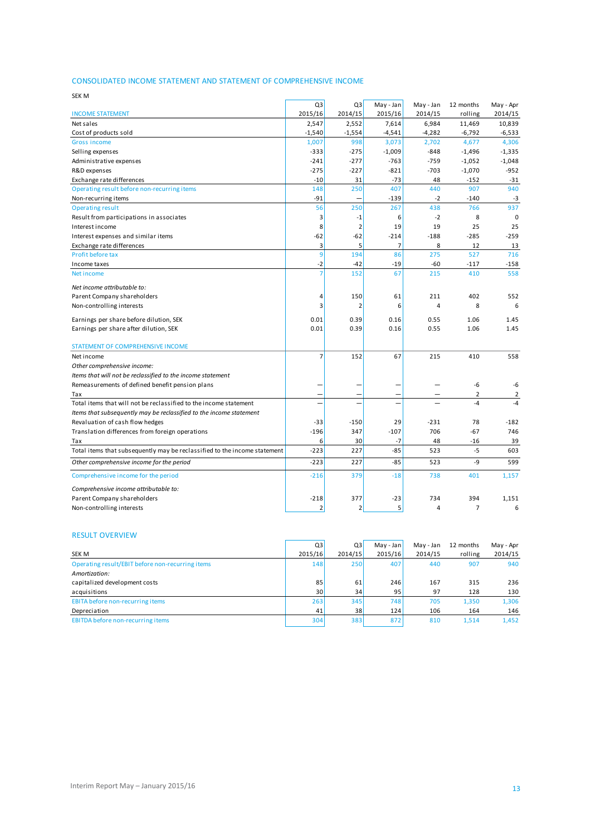### CONSOLIDATED INCOME STATEMENT AND STATEMENT OF COMPREHENSIVE INCOME

| <b>CONSOLIDATED INCOME STATEMENT AND STATEMENT OF COMPREHENSIVE INCOME</b> |                |                |                |                |                |                |
|----------------------------------------------------------------------------|----------------|----------------|----------------|----------------|----------------|----------------|
| <b>SEK M</b>                                                               |                |                |                |                |                |                |
|                                                                            | Q3             | Q3             | May - Jan      | May - Jan      | 12 months      | May - Apr      |
| <b>INCOME STATEMENT</b>                                                    | 2015/16        | 2014/15        | 2015/16        | 2014/15        | rolling        | 2014/15        |
| Net sales                                                                  | 2,547          | 2,552          | 7,614          | 6,984          | 11,469         | 10,839         |
| Cost of products sold                                                      | $-1,540$       | $-1,554$       | $-4,541$       | $-4,282$       | $-6,792$       | -6,533         |
| <b>Gross income</b>                                                        | 1,007          | 998            | 3,073          | 2,702          | 4,677          | 4,306          |
| Selling expenses                                                           | $-333$         | $-275$         | $-1,009$       | $-848$         | $-1,496$       | $-1,335$       |
| Administrative expenses                                                    | $-241$         | $-277$         | $-763$         | $-759$         | $-1,052$       | $-1,048$       |
| R&D expenses                                                               | $-275$         | $-227$         | $-821$         | $-703$         | $-1,070$       | $-952$         |
| Exchange rate differences                                                  | $-10$          | 31             | $-73$          | 48             | $-152$         | $-31$          |
| Operating result before non-recurring items                                | 148            | 250            | 407            | 440            | 907            | 940            |
| Non-recurring items                                                        | $-91$          |                | $-139$         | $-2$           | $-140$         | $-3$           |
| <b>Operating result</b>                                                    | 56             | 250            | 267            | 438            | 766            | 937            |
| Result from participations in associates                                   | 3              | $-1$           | 6              | $-2$           | 8              | $\mathbf 0$    |
| Interest income                                                            | 8              | $\overline{2}$ | 19             | 19             | 25             | 25             |
| Interest expenses and similar items                                        | $-62$          | -62            | $-214$         | $-188$         | $-285$         | $-259$         |
| Exchange rate differences                                                  | $\overline{3}$ | 5              | $\overline{7}$ | 8              | 12             | 13             |
| Profit before tax                                                          | $\overline{9}$ | 194            | 86             | 275            | 527            | 716            |
| Income taxes                                                               | $-2$           | $-42$          | $-19$          | $-60$          | $-117$         | $-158$         |
| Net income                                                                 |                | 152            | 67             | 215            | 410            | 558            |
| Net income attributable to:                                                |                |                |                |                |                |                |
| Parent Company shareholders                                                | 4              | 150            | 61             | 211            | 402            | 552            |
| Non-controlling interests                                                  | 3              | $\overline{2}$ | 6              | 4              | 8              | 6              |
| Earnings per share before dilution, SEK                                    | 0.01           | 0.39           | 0.16           | 0.55           | 1.06           | 1.45           |
| Earnings per share after dilution, SEK                                     | 0.01           | 0.39           | 0.16           | 0.55           | 1.06           | 1.45           |
| STATEMENT OF COMPREHENSIVE INCOME                                          |                |                |                |                |                |                |
| Net income                                                                 | $\overline{7}$ | 152            | 67             | 215            | 410            | 558            |
| Other comprehensive income:                                                |                |                |                |                |                |                |
| Items that will not be reclassified to the income statement                |                |                |                |                |                |                |
| Remeasurements of defined benefit pension plans                            |                |                |                |                | -6             | -6             |
| Tax                                                                        |                |                |                |                | $\overline{2}$ | $\overline{2}$ |
| Total items that will not be reclassified to the income statement          |                |                |                |                | $-4$           | $-4$           |
| Items that subsequently may be reclassified to the income statement        |                |                |                |                |                |                |
| Revaluation of cash flow hedges                                            | $-33$          | $-150$         | 29             | $-231$         | 78             | $-182$         |
| Translation differences from foreign operations                            | $-196$         | 347            | $-107$         | 706            | $-67$          | 746            |
| Tax                                                                        | 6              | 30             | -7             | 48             | -16            | 39             |
| Total items that subsequently may be reclassified to the income statement  | $-223$         | 227            | $-85$          | 523            | $-5$           | 603            |
| Other comprehensive income for the period                                  | $-223$         | 227            | $-85$          | 523            | $-9$           | 599            |
| Comprehensive income for the period                                        | $-216$         | 379            | $-18$          | 738            | 401            | 1,157          |
| Comprehensive income attributable to:                                      |                |                |                |                |                |                |
| Parent Company shareholders                                                | $-218$         | 377            | $-23$          | 734            | 394            | 1,151          |
| Non-controlling interests                                                  | $\overline{2}$ | $\overline{2}$ | 5              | $\overline{a}$ | $\overline{7}$ | 6              |

### RESULT OVERVIEW

| Non-controlling interests                        |         | $2^{\circ}$      |           | 4         |           | 6         |
|--------------------------------------------------|---------|------------------|-----------|-----------|-----------|-----------|
|                                                  |         |                  |           |           |           |           |
| <b>RESULT OVERVIEW</b>                           |         |                  |           |           |           |           |
|                                                  | Q3      | Q3               | May - Jan | May - Jan | 12 months | May - Apr |
| SEK M                                            | 2015/16 | 2014/15          | 2015/16   | 2014/15   | rolling   | 2014/15   |
| Operating result/EBIT before non-recurring items | 148     | 250              | 407       | 440       | 907       | 940       |
| Amortization:                                    |         |                  |           |           |           |           |
| capitalized development costs                    | 85      | 61               | 246       | 167       | 315       | 236       |
| acquisitions                                     | 30      | 34               | 95        | 97        | 128       | 130       |
| EBITA before non-recurring items                 | 263     | 345              | 748       | 705       | 1,350     | 1,306     |
| Depreciation                                     | 41      | 38               | 124       | 106       | 164       | 146       |
| EBITDA before non-recurring items                | 304     | 383 <sup>1</sup> | 872       | 810       | 1,514     | 1,452     |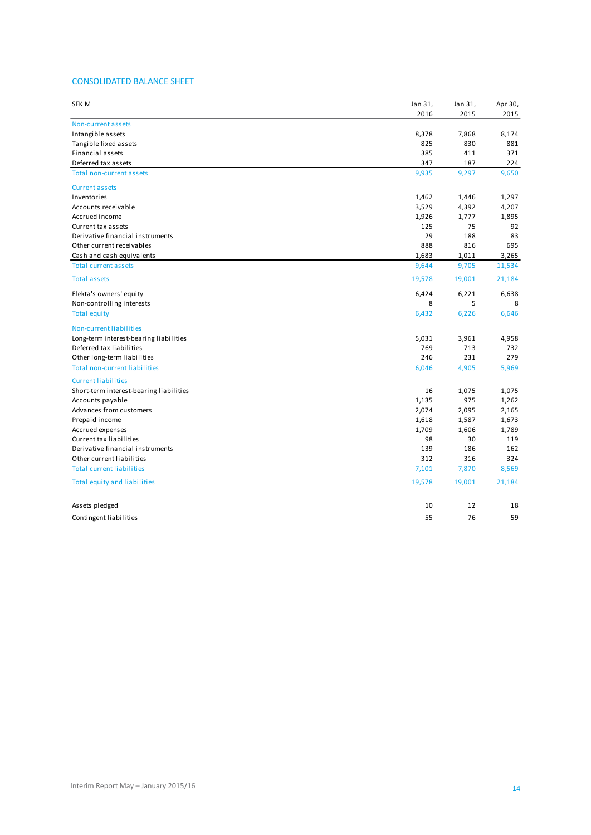### CONSOLIDATED BALANCE SHEET

| <b>SEK M</b>                            | Jan 31, | Jan 31, | Apr 30, |
|-----------------------------------------|---------|---------|---------|
|                                         | 2016    | 2015    | 2015    |
| Non-current assets                      |         |         |         |
| Intangible assets                       | 8,378   | 7,868   | 8,174   |
| Tangible fixed assets                   | 825     | 830     | 881     |
| Financial assets                        | 385     | 411     | 371     |
| Deferred tax assets                     | 347     | 187     | 224     |
| <b>Total non-current assets</b>         | 9,935   | 9,297   | 9,650   |
| <b>Current assets</b>                   |         |         |         |
| Inventories                             | 1,462   | 1,446   | 1,297   |
| Accounts receivable                     | 3,529   | 4,392   | 4,207   |
| Accrued income                          | 1,926   | 1,777   | 1,895   |
| Current tax assets                      | 125     | 75      | 92      |
| Derivative financial instruments        | 29      | 188     | 83      |
| Other current receivables               | 888     | 816     | 695     |
| Cash and cash equivalents               | 1,683   | 1,011   | 3,265   |
| <b>Total current assets</b>             | 9,644   | 9,705   | 11,534  |
| <b>Total assets</b>                     | 19,578  | 19,001  | 21,184  |
| Elekta's owners' equity                 | 6,424   | 6,221   | 6,638   |
| Non-controlling interests               | 8       | 5       | 8       |
| <b>Total equity</b>                     | 6,432   | 6,226   | 6,646   |
| Non-current liabilities                 |         |         |         |
| Long-term interest-bearing liabilities  | 5,031   | 3,961   | 4,958   |
| Deferred tax liabilities                | 769     | 713     | 732     |
| Other long-term liabilities             | 246     | 231     | 279     |
| <b>Total non-current liabilities</b>    | 6,046   | 4,905   | 5,969   |
| <b>Current liabilities</b>              |         |         |         |
| Short-term interest-bearing liabilities | 16      | 1,075   | 1,075   |
| Accounts payable                        | 1,135   | 975     | 1,262   |
| Advances from customers                 | 2,074   | 2,095   | 2,165   |
| Prepaid income                          | 1,618   | 1,587   | 1,673   |
| Accrued expenses                        | 1,709   | 1,606   | 1,789   |
| Current tax liabilities                 | 98      | 30      | 119     |
| Derivative financial instruments        | 139     | 186     | 162     |
| Other current liabilities               | 312     | 316     | 324     |
| <b>Total current liabilities</b>        | 7,101   | 7,870   | 8,569   |
| Total equity and liabilities            | 19,578  | 19,001  | 21,184  |
| Assets pledged                          | 10      | 12      | 18      |
| Contingent liabilities                  | 55      | 76      | 59      |
|                                         |         |         |         |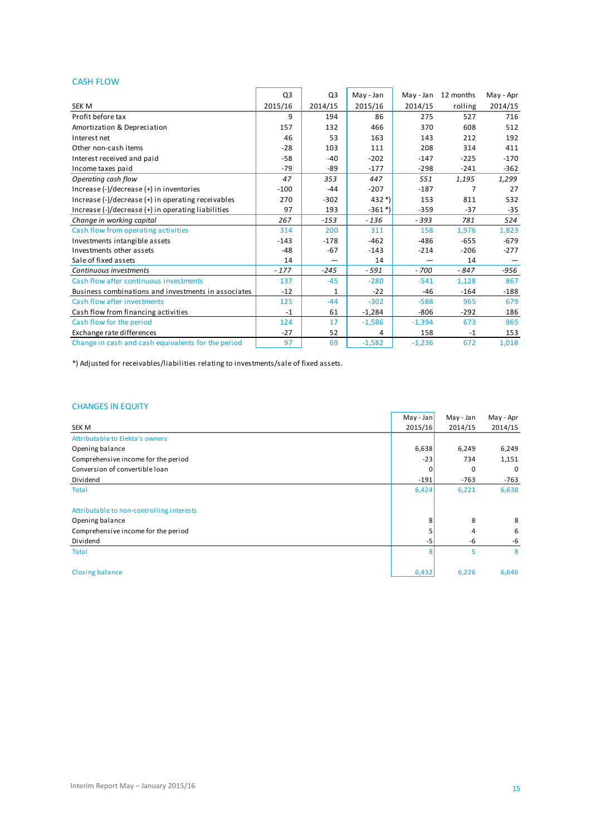### CASH FLOW

| <b>CASH FLOW</b>                                    |                |                |                       |          |                     |           |
|-----------------------------------------------------|----------------|----------------|-----------------------|----------|---------------------|-----------|
|                                                     | Q <sub>3</sub> | Q <sub>3</sub> | May - Jan             |          | May - Jan 12 months | May - Apr |
| <b>SEK M</b>                                        | 2015/16        | 2014/15        | 2015/16               | 2014/15  | rolling             | 2014/15   |
| Profit before tax                                   | 9              | 194            | 86                    | 275      | 527                 | 716       |
| Amortization & Depreciation                         | 157            | 132            | 466                   | 370      | 608                 | 512       |
| Interest net                                        | 46             | 53             | 163                   | 143      | 212                 | 192       |
| Other non-cash items                                | $-28$          | 103            | 111                   | 208      | 314                 | 411       |
| Interest received and paid                          | $-58$          | $-40$          | $-202$                | $-147$   | $-225$              | $-170$    |
| Income taxes paid                                   | $-79$          | $-89$          | $-177$                | $-298$   | $-241$              | $-362$    |
| Operating cash flow                                 | 47             | 353            | 447                   | 551      | 1,195               | 1,299     |
| Increase (-)/decrease (+) in inventories            | $-100$         | $-44$          | $-207$                | $-187$   | 7                   | 27        |
| Increase (-)/decrease (+) in operating receivables  | 270            | $-302$         | $432*)$               | 153      | 811                 | 532       |
| Increase (-)/decrease (+) in operating liabilities  | 97             | 193            | $-361$ <sup>*</sup> ) | $-359$   | $-37$               | $-35$     |
| Change in working capital                           | 267            | $-153$         | $-136$                | $-393$   | 781                 | 524       |
| Cash flow from operating activities                 | 314            | 200            | 311                   | 158      | 1,976               | 1,823     |
| Investments intangible assets                       | $-143$         | $-178$         | $-462$                | $-486$   | $-655$              | $-679$    |
| Investments other assets                            | $-48$          | $-67$          | $-143$                | $-214$   | $-206$              | $-277$    |
| Sale of fixed assets                                | 14             |                | 14                    |          | 14                  |           |
| Continuous investments                              | $-177$         | $-245$         | $-591$                | $-700$   | $-847$              | $-956$    |
| Cash flow after continuous investments              | 137            | $-45$          | $-280$                | $-541$   | 1,128               | 867       |
| Business combinations and investments in associates | $-12$          | $\mathbf{1}$   | $-22$                 | $-46$    | $-164$              | $-188$    |
| Cash flow after investments                         | 125            | $-44$          | $-302$                | $-588$   | 965                 | 679       |
| Cash flow from financing activities                 | $-1$           | 61             | $-1,284$              | $-806$   | $-292$              | 186       |
| Cash flow for the period                            | 124            | 17             | $-1,586$              | $-1,394$ | 673                 | 865       |
| Exchange rate differences                           | $-27$          | 52             | 4                     | 158      | $-1$                | 153       |
| Change in cash and cash equivalents for the period  | 97             | 69             | $-1,582$              | $-1,236$ | 672                 | 1,018     |
|                                                     |                |                |                       |          |                     |           |

\*) Adjusted for receivables/liabilities relating to investments/sale of fixed assets.

### CHANGES IN EQUITY

|                                           | $May - Jan$ | May - Jan | May - Apr |
|-------------------------------------------|-------------|-----------|-----------|
| SEK M                                     | 2015/16     | 2014/15   | 2014/15   |
| Attributable to Elekta's owners           |             |           |           |
| Opening balance                           | 6,638       | 6,249     | 6,249     |
| Comprehensive income for the period       | $-23$       | 734       | 1,151     |
| Conversion of convertible loan            | $\Omega$    | $\Omega$  | 0         |
| Dividend                                  | $-191$      | $-763$    | $-763$    |
| <b>Total</b>                              | 6,424       | 6,221     | 6,638     |
|                                           |             |           |           |
| Attributable to non-controlling interests |             |           |           |
| Opening balance                           | 8           | 8         | 8         |
| Comprehensive income for the period       |             | 4         | 6         |
| Dividend                                  | -5          | -6        | -6        |
| <b>Total</b>                              | 8           | 5         | 8         |
| <b>Closing balance</b>                    | 6,432       | 6,226     | 6,646     |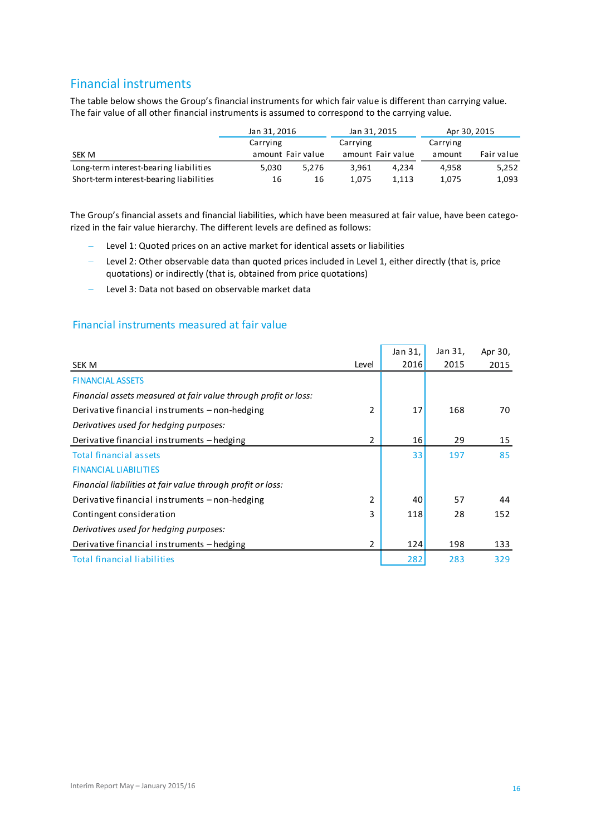## Financial instruments

The table below shows the Group's financial instruments for which fair value is different than carrying value. The fair value of all other financial instruments is assumed to correspond to the carrying value.

|                                         | Jan 31, 2016 |                   | Jan 31, 2015      |       | Apr 30, 2015 |            |
|-----------------------------------------|--------------|-------------------|-------------------|-------|--------------|------------|
|                                         | Carrying     |                   | Carrying          |       | Carrying     |            |
| SEK M                                   |              | amount Fair value | amount Fair value |       | amount       | Fair value |
| Long-term interest-bearing liabilities  | 5.030        | 5.276             | 3.961             | 4.234 | 4.958        | 5,252      |
| Short-term interest-bearing liabilities | 16           | 16                | 1.075             | 1,113 | 1,075        | 1,093      |
|                                         |              |                   |                   |       |              |            |

The Group's financial assets and financial liabilities, which have been measured at fair value, have been categorized in the fair value hierarchy. The different levels are defined as follows:

- Level 1: Quoted prices on an active market for identical assets or liabilities
- Level 2: Other observable data than quoted prices included in Level 1, either directly (that is, price quotations) or indirectly (that is, obtained from price quotations)
- Level 3: Data not based on observable market data

### Financial instruments measured at fair value

|                                                                 |                | Jan 31, | Jan 31, | Apr 30, |
|-----------------------------------------------------------------|----------------|---------|---------|---------|
| SEK M                                                           | Level          | 2016    | 2015    | 2015    |
| <b>FINANCIAL ASSETS</b>                                         |                |         |         |         |
| Financial assets measured at fair value through profit or loss: |                |         |         |         |
| Derivative financial instruments – non-hedging                  | $\overline{2}$ | 17      | 168     | 70      |
| Derivatives used for hedging purposes:                          |                |         |         |         |
| Derivative financial instruments – hedging                      | 2              | 16      | 29      | 15      |
| <b>Total financial assets</b>                                   |                | 33      | 197     | 85      |
| <b>FINANCIAL LIABILITIES</b>                                    |                |         |         |         |
| Financial liabilities at fair value through profit or loss:     |                |         |         |         |
| Derivative financial instruments – non-hedging                  | 2              | 40      | 57      | 44      |
| Contingent consideration                                        | 3              | 118     | 28      | 152     |
| Derivatives used for hedging purposes:                          |                |         |         |         |
| Derivative financial instruments – hedging                      | 2              | 124     | 198     | 133     |
| <b>Total financial liabilities</b>                              |                | 282     | 283     | 329     |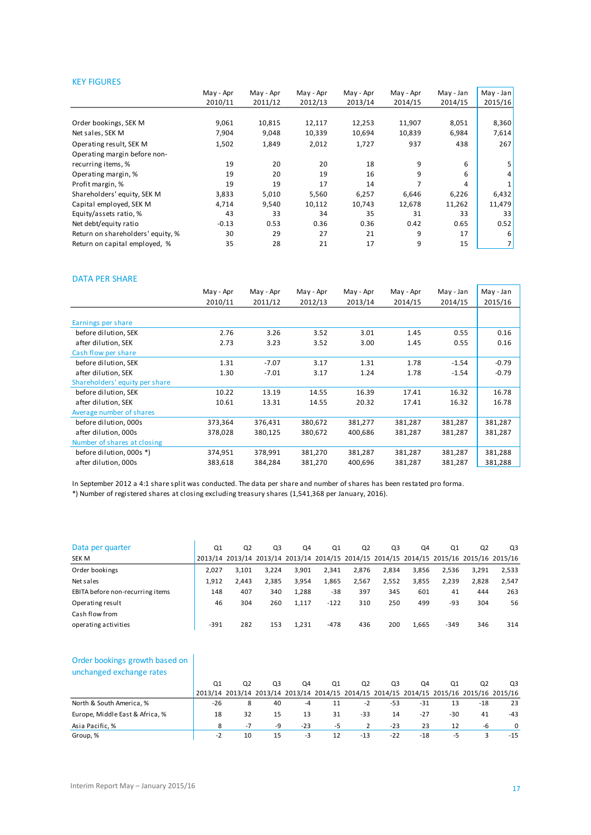### KEY FIGURES

| 2012/13<br>12,117<br>10,339<br>2,012<br>20 | 2013/14<br>12,253<br>10,694<br>1,727<br>18 | 2014/15<br>11,907<br>10,839<br>937 | 2014/15<br>8,051<br>6,984<br>438 | 2015/16<br>8,360<br>7,614<br>267 |
|--------------------------------------------|--------------------------------------------|------------------------------------|----------------------------------|----------------------------------|
|                                            |                                            |                                    |                                  |                                  |
|                                            |                                            |                                    |                                  |                                  |
|                                            |                                            |                                    |                                  |                                  |
|                                            |                                            |                                    |                                  |                                  |
|                                            |                                            |                                    |                                  |                                  |
|                                            |                                            |                                    |                                  |                                  |
|                                            |                                            | 9                                  | 6                                |                                  |
| 19                                         | 16                                         | 9                                  | 6                                | 4                                |
| 17                                         | 14                                         | 7                                  | 4                                |                                  |
| 5,560                                      | 6,257                                      | 6,646                              | 6,226                            | 6,432                            |
| 10,112                                     | 10,743                                     | 12,678                             | 11,262                           | 11,479                           |
| 34                                         | 35                                         | 31                                 | 33                               | 33                               |
| 0.36                                       | 0.36                                       | 0.42                               | 0.65                             | 0.52                             |
| 27                                         | 21                                         | 9                                  | 17                               | 6                                |
| 21                                         | 17                                         | 9                                  | 15                               | 7                                |
|                                            |                                            |                                    |                                  |                                  |

#### DATA PER SHARE

|                                | May - Apr | May - Apr | May - Apr | May - Apr | May - Apr | May - Jan | May - Jan |
|--------------------------------|-----------|-----------|-----------|-----------|-----------|-----------|-----------|
|                                | 2010/11   | 2011/12   | 2012/13   | 2013/14   | 2014/15   | 2014/15   | 2015/16   |
|                                |           |           |           |           |           |           |           |
| Earnings per share             |           |           |           |           |           |           |           |
| before dilution, SEK           | 2.76      | 3.26      | 3.52      | 3.01      | 1.45      | 0.55      | 0.16      |
| after dilution, SEK            | 2.73      | 3.23      | 3.52      | 3.00      | 1.45      | 0.55      | 0.16      |
| Cash flow per share            |           |           |           |           |           |           |           |
| before dilution, SEK           | 1.31      | $-7.07$   | 3.17      | 1.31      | 1.78      | $-1.54$   | $-0.79$   |
| after dilution, SEK            | 1.30      | $-7.01$   | 3.17      | 1.24      | 1.78      | $-1.54$   | $-0.79$   |
| Shareholders' equity per share |           |           |           |           |           |           |           |
| before dilution. SEK           | 10.22     | 13.19     | 14.55     | 16.39     | 17.41     | 16.32     | 16.78     |
| after dilution, SEK            | 10.61     | 13.31     | 14.55     | 20.32     | 17.41     | 16.32     | 16.78     |
| Average number of shares       |           |           |           |           |           |           |           |
| before dilution, 000s          | 373,364   | 376,431   | 380,672   | 381,277   | 381,287   | 381,287   | 381,287   |
| after dilution, 000s           | 378,028   | 380,125   | 380,672   | 400,686   | 381,287   | 381,287   | 381,287   |
| Number of shares at closing    |           |           |           |           |           |           |           |
| before dilution, 000s *)       | 374,951   | 378,991   | 381,270   | 381,287   | 381,287   | 381,287   | 381,288   |
| after dilution, 000s           | 383,618   | 384,284   | 381,270   | 400,696   | 381,287   | 381,287   | 381,288   |

In September 2012 a 4:1 share split was conducted. The data per share and number of shares has been restated pro forma.

\*) Number of registered shares at closing excluding treasury shares (1,541,368 per January, 2016).

| Data per quarter                 | Q <sub>1</sub> | Q <sub>2</sub> | Q3    | Q4    | Q1     | Q <sub>2</sub>                                                                          | Q3    | Q4    | Q1     | Q <sub>2</sub> | Q3    |
|----------------------------------|----------------|----------------|-------|-------|--------|-----------------------------------------------------------------------------------------|-------|-------|--------|----------------|-------|
| SEK M                            |                |                |       |       |        | 2013/14 2013/14 2013/14 2013/14 2014/15 2014/15 2014/15 2014/15 2015/16 2015/16 2015/16 |       |       |        |                |       |
| Order bookings                   | 2.027          | 3.101          | 3.224 | 3.901 | 2,341  | 2.876                                                                                   | 2.834 | 3,856 | 2,536  | 3.291          | 2,533 |
| Net sales                        | 1.912          | 2.443          | 2.385 | 3,954 | 1,865  | 2,567                                                                                   | 2,552 | 3,855 | 2,239  | 2.828          | 2,547 |
| EBITA before non-recurring items | 148            | 407            | 340   | 1,288 | $-38$  | 397                                                                                     | 345   | 601   | 41     | 444            | 263   |
| Operating result                 | 46             | 304            | 260   | 1.117 | $-122$ | 310                                                                                     | 250   | 499   | -93    | 304            | 56    |
| Cash flow from                   |                |                |       |       |        |                                                                                         |       |       |        |                |       |
| operating activities             | $-391$         | 282            | 153   | 1.231 | $-478$ | 436                                                                                     | 200   | 1.665 | $-349$ | 346            | 314   |
|                                  |                |                |       |       |        |                                                                                         |       |       |        |                |       |

### Order bookings growth based on unchanged exchange rates

| Order bookings growth based on<br>unchanged exchange rates |                |                |                |       |    |                |       |       |       |                                                                                         |          |
|------------------------------------------------------------|----------------|----------------|----------------|-------|----|----------------|-------|-------|-------|-----------------------------------------------------------------------------------------|----------|
|                                                            | Q <sub>1</sub> | Q <sub>2</sub> | Q <sub>3</sub> | Q4    | Q1 | Q <sub>2</sub> | Q3    | Q4    | Q1    | Q2                                                                                      | Q3       |
|                                                            |                |                |                |       |    |                |       |       |       | 2013/14 2013/14 2013/14 2013/14 2014/15 2014/15 2014/15 2014/15 2015/16 2015/16 2015/16 |          |
| North & South America, %                                   | $-26$          | 8              | 40             | $-4$  | 11 | $-2$           | -53   | $-31$ | 13    | -18                                                                                     | 23       |
| Europe, Middle East & Africa, %                            | 18             | 32             | 15             | 13    | 31 | $-33$          | 14    | $-27$ | $-30$ | 41                                                                                      | $-43$    |
| Asia Pacific, %                                            | 8              | $-7$           | -9             | $-23$ | -5 | 2              | $-23$ | 23    | 12    | -6                                                                                      | $\Omega$ |
| Group, %                                                   | $-2$           | 10             | 15             | -3    | 12 | $-13$          | $-22$ | $-18$ | -5    |                                                                                         | $-15$    |
|                                                            |                |                |                |       |    |                |       |       |       |                                                                                         |          |

Î.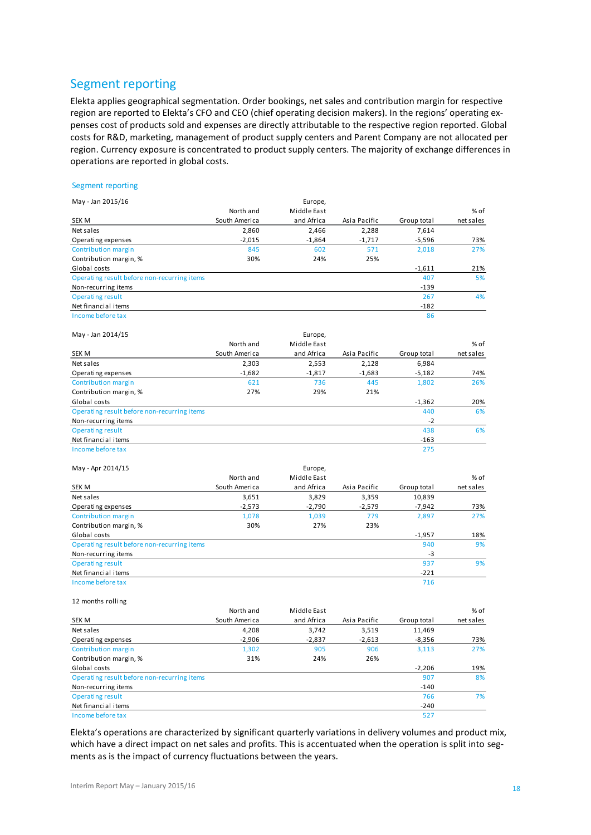## Segment reporting

Elekta applies geographical segmentation. Order bookings, net sales and contribution margin for respective region are reported to Elekta's CFO and CEO (chief operating decision makers). In the regions' operating expenses cost of products sold and expenses are directly attributable to the respective region reported. Global costs for R&D, marketing, management of product supply centers and Parent Company are not allocated per region. Currency exposure is concentrated to product supply centers. The majority of exchange differences in operations are reported in global costs.

#### Segment reporting

| May - Jan 2015/16                           |               | Europe,      |              |                 |            |
|---------------------------------------------|---------------|--------------|--------------|-----------------|------------|
|                                             | North and     | Middle East  |              |                 | % of       |
| SEK M                                       | South America | and Africa   | Asia Pacific | Group total     | net sales  |
| Net sales                                   | 2,860         | 2,466        | 2,288        | 7,614           |            |
| Operating expenses                          | $-2,015$      | $-1,864$     | $-1,717$     | $-5,596$        | 73%        |
| Contribution margin                         | 845           | 602          | 571          | 2,018           | 27%        |
| Contribution margin, %                      | 30%           | 24%          | 25%          |                 |            |
| Global costs                                |               |              |              | $-1,611$        | 21%        |
| Operating result before non-recurring items |               |              |              | 407             | 5%         |
| Non-recurring items                         |               |              |              | $-139$          |            |
| <b>Operating result</b>                     |               |              |              | 267             | 4%         |
| Net financial items                         |               |              |              | $-182$          |            |
| Income before tax                           |               |              |              | 86              |            |
|                                             |               |              |              |                 |            |
| May - Jan 2014/15                           |               | Europe,      |              |                 |            |
|                                             | North and     | Middle East  |              |                 | % of       |
| SEK M                                       | South America | and Africa   | Asia Pacific | Group total     | net sales  |
| Net sales                                   | 2,303         | 2,553        | 2,128        | 6,984           |            |
| Operating expenses                          | $-1,682$      | $-1,817$     | $-1,683$     | $-5,182$        | 74%        |
| Contribution margin                         | 621           | 736          | 445          | 1,802           | 26%        |
| Contribution margin, %                      | 27%           | 29%          | 21%          |                 |            |
| Global costs                                |               |              |              | $-1,362$        | 20%        |
| Operating result before non-recurring items |               |              |              | 440             | 6%         |
| Non-recurring items                         |               |              |              | $-2$            |            |
| <b>Operating result</b>                     |               |              |              | 438             | 6%         |
| Net financial items                         |               |              |              | $-163$          |            |
| Income before tax                           |               |              |              | 275             |            |
| May - Apr 2014/15                           |               | Europe,      |              |                 |            |
|                                             | North and     | Middle East  |              |                 | % of       |
| SEK M                                       | South America | and Africa   | Asia Pacific |                 | net sales  |
|                                             |               |              |              | Group total     |            |
| Net sales                                   | 3,651         | 3,829        | 3,359        | 10,839          |            |
| Operating expenses                          | $-2,573$      | $-2,790$     | $-2,579$     | $-7,942$        | 73%<br>27% |
| Contribution margin                         | 1,078<br>30%  | 1,039<br>27% | 779<br>23%   | 2,897           |            |
| Contribution margin, %                      |               |              |              |                 |            |
| Global costs                                |               |              |              | $-1,957$<br>940 | 18%<br>9%  |
| Operating result before non-recurring items |               |              |              | $-3$            |            |
| Non-recurring items                         |               |              |              |                 |            |
| <b>Operating result</b>                     |               |              |              | 937             | 9%         |
| Net financial items<br>Income before tax    |               |              |              | -221            |            |
|                                             |               |              |              | 716             |            |
| 12 months rolling                           |               |              |              |                 |            |
|                                             | North and     | Middle East  |              |                 | % of       |
| SEK M                                       | South America | and Africa   | Asia Pacific | Group total     | net sales  |
| Net sales                                   | 4,208         | 3,742        | 3,519        | 11,469          |            |
| Operating expenses                          | -2,906        | -2,837       | -2,613       | -8,356          | 73%        |
| Contribution margin                         | 1,302         | 905          | 906          | 3,113           | 27%        |
| Contribution margin, %                      | 31%           | 24%          | 26%          |                 |            |
| Global costs                                |               |              |              | $-2,206$        | 19%        |
| Operating result before non-recurring items |               |              |              | 907             | 8%         |
| Non-recurring items                         |               |              |              | $-140$          |            |
| <b>Operating result</b>                     |               |              |              | 766             | 7%         |
| Net financial items                         |               |              |              | $-240$          |            |
| Income before tax                           |               |              |              | 527             |            |

Elekta's operations are characterized by significant quarterly variations in delivery volumes and product mix, which have a direct impact on net sales and profits. This is accentuated when the operation is split into segments as is the impact of currency fluctuations between the years.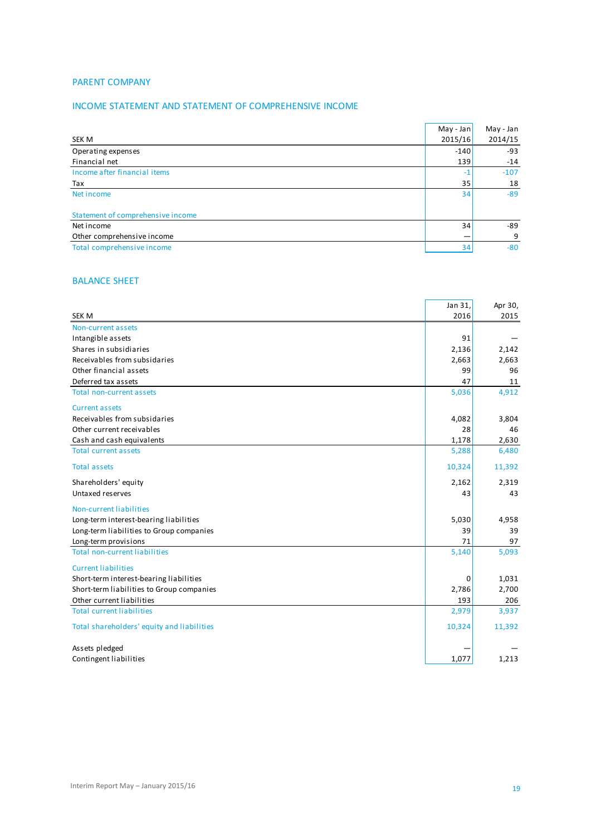### PARENT COMPANY

### INCOME STATEMENT AND STATEMENT OF COMPREHENSIVE INCOME

|                                   | May - Jan | May - Jan |
|-----------------------------------|-----------|-----------|
| <b>SEK M</b>                      | 2015/16   | 2014/15   |
| Operating expenses                | $-140$    | $-93$     |
| Financial net                     | 139       | $-14$     |
| Income after financial items      | $-1$      | $-107$    |
| Tax                               | 35        | 18        |
| Net income                        | 34        | $-89$     |
| Statement of comprehensive income |           |           |
| Net income                        | 34        | -89       |
| Other comprehensive income        |           | 9         |
| Total comprehensive income        | 34        | $-80$     |
|                                   |           |           |

## BALANCE SHEET

|                                            | Jan 31, | Apr 30, |
|--------------------------------------------|---------|---------|
| <b>SEK M</b>                               | 2016    | 2015    |
| Non-current assets                         |         |         |
| Intangible assets                          | 91      |         |
| Shares in subsidiaries                     | 2,136   | 2,142   |
| Receivables from subsidaries               | 2,663   | 2,663   |
| Other financial assets                     | 99      | 96      |
| Deferred tax assets                        | 47      | 11      |
| <b>Total non-current assets</b>            | 5,036   | 4,912   |
| <b>Current assets</b>                      |         |         |
| Receivables from subsidaries               | 4,082   | 3,804   |
| Other current receivables                  | 28      | 46      |
| Cash and cash equivalents                  | 1,178   | 2,630   |
| <b>Total current assets</b>                | 5,288   | 6,480   |
| <b>Total assets</b>                        | 10,324  | 11,392  |
| Shareholders' equity                       | 2,162   | 2,319   |
| Untaxed reserves                           | 43      | 43      |
| Non-current liabilities                    |         |         |
| Long-term interest-bearing liabilities     | 5,030   | 4,958   |
| Long-term liabilities to Group companies   | 39      | 39      |
| Long-term provisions                       | 71      | 97      |
| <b>Total non-current liabilities</b>       | 5,140   | 5,093   |
| <b>Current liabilities</b>                 |         |         |
| Short-term interest-bearing liabilities    | 0       | 1,031   |
| Short-term liabilities to Group companies  | 2,786   | 2,700   |
| Other current liabilities                  | 193     | 206     |
| <b>Total current liabilities</b>           | 2,979   | 3,937   |
| Total shareholders' equity and liabilities | 10,324  | 11,392  |
| Assets pledged                             |         |         |
| Contingent liabilities                     | 1,077   | 1,213   |